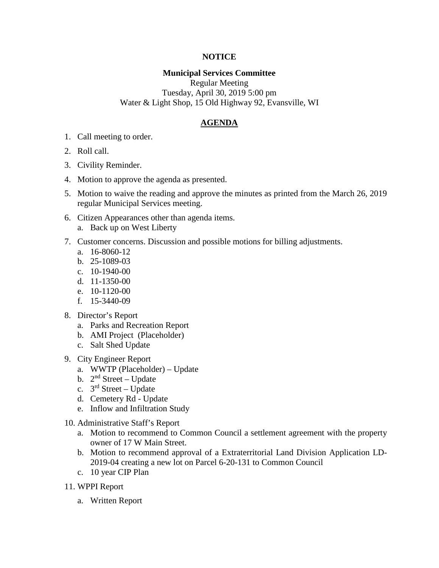## **NOTICE**

## **Municipal Services Committee**

Regular Meeting Tuesday, April 30, 2019 5:00 pm Water & Light Shop, 15 Old Highway 92, Evansville, WI

## **AGENDA**

- 1. Call meeting to order.
- 2. Roll call.
- 3. Civility Reminder.
- 4. Motion to approve the agenda as presented.
- 5. Motion to waive the reading and approve the minutes as printed from the March 26, 2019 regular Municipal Services meeting.
- 6. Citizen Appearances other than agenda items.
	- a. Back up on West Liberty
- 7. Customer concerns. Discussion and possible motions for billing adjustments.
	- a. 16-8060-12
	- b. 25-1089-03
	- c. 10-1940-00
	- d. 11-1350-00
	- e. 10-1120-00
	- f. 15-3440-09
- 8. Director's Report
	- a. Parks and Recreation Report
	- b. AMI Project (Placeholder)
	- c. Salt Shed Update
- 9. City Engineer Report
	- a. WWTP (Placeholder) Update
	- b.  $2<sup>nd</sup> Street Update$
	- c.  $3^{rd}$  Street Update
	- d. Cemetery Rd Update
	- e. Inflow and Infiltration Study
- 10. Administrative Staff's Report
	- a. Motion to recommend to Common Council a settlement agreement with the property owner of 17 W Main Street.
	- b. Motion to recommend approval of a Extraterritorial Land Division Application LD-2019-04 creating a new lot on Parcel 6-20-131 to Common Council
	- c. 10 year CIP Plan
- 11. WPPI Report
	- a. Written Report